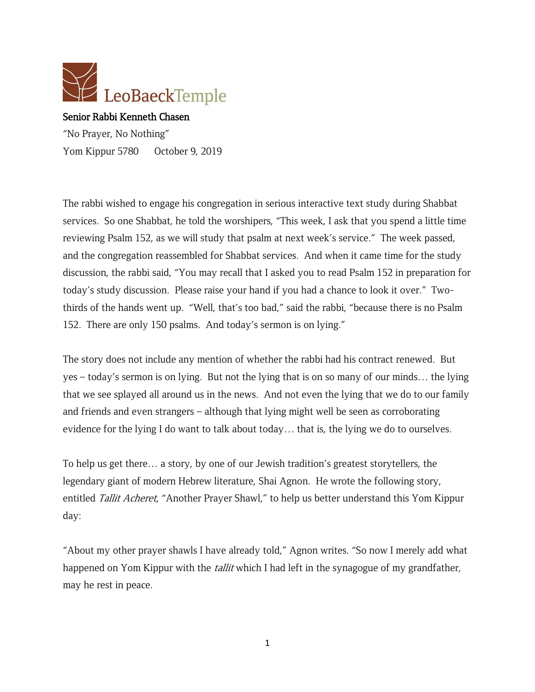

## Senior Rabbi Kenneth Chasen

"No Prayer, No Nothing" Yom Kippur 5780 October 9, 2019

The rabbi wished to engage his congregation in serious interactive text study during Shabbat services. So one Shabbat, he told the worshipers, "This week, I ask that you spend a little time reviewing Psalm 152, as we will study that psalm at next week's service." The week passed, and the congregation reassembled for Shabbat services. And when it came time for the study discussion, the rabbi said, "You may recall that I asked you to read Psalm 152 in preparation for today's study discussion. Please raise your hand if you had a chance to look it over." Twothirds of the hands went up. "Well, that's too bad," said the rabbi, "because there is no Psalm 152. There are only 150 psalms. And today's sermon is on lying."

The story does not include any mention of whether the rabbi had his contract renewed. But yes – today's sermon is on lying. But not the lying that is on so many of our minds… the lying that we see splayed all around us in the news. And not even the lying that we do to our family and friends and even strangers – although that lying might well be seen as corroborating evidence for the lying I do want to talk about today… that is, the lying we do to ourselves.

To help us get there… a story, by one of our Jewish tradition's greatest storytellers, the legendary giant of modern Hebrew literature, Shai Agnon. He wrote the following story, entitled Tallit Acheret, "Another Prayer Shawl," to help us better understand this Yom Kippur day:

"About my other prayer shawls I have already told," Agnon writes. "So now I merely add what happened on Yom Kippur with the *tallit* which I had left in the synagogue of my grandfather, may he rest in peace.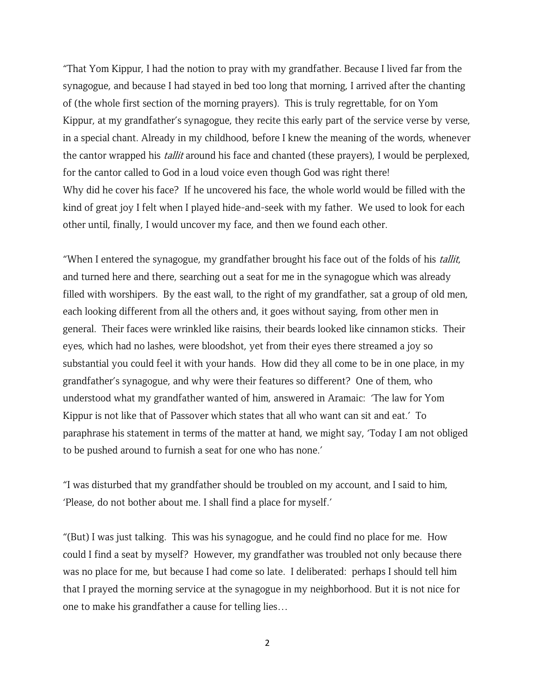"That Yom Kippur, I had the notion to pray with my grandfather. Because I lived far from the synagogue, and because I had stayed in bed too long that morning, I arrived after the chanting of (the whole first section of the morning prayers). This is truly regrettable, for on Yom Kippur, at my grandfather's synagogue, they recite this early part of the service verse by verse, in a special chant. Already in my childhood, before I knew the meaning of the words, whenever the cantor wrapped his *tallit* around his face and chanted (these prayers), I would be perplexed, for the cantor called to God in a loud voice even though God was right there! Why did he cover his face? If he uncovered his face, the whole world would be filled with the kind of great joy I felt when I played hide-and-seek with my father. We used to look for each other until, finally, I would uncover my face, and then we found each other.

"When I entered the synagogue, my grandfather brought his face out of the folds of his *tallit*, and turned here and there, searching out a seat for me in the synagogue which was already filled with worshipers. By the east wall, to the right of my grandfather, sat a group of old men, each looking different from all the others and, it goes without saying, from other men in general. Their faces were wrinkled like raisins, their beards looked like cinnamon sticks. Their eyes, which had no lashes, were bloodshot, yet from their eyes there streamed a joy so substantial you could feel it with your hands. How did they all come to be in one place, in my grandfather's synagogue, and why were their features so different? One of them, who understood what my grandfather wanted of him, answered in Aramaic: 'The law for Yom Kippur is not like that of Passover which states that all who want can sit and eat.' To paraphrase his statement in terms of the matter at hand, we might say, 'Today I am not obliged to be pushed around to furnish a seat for one who has none.'

"I was disturbed that my grandfather should be troubled on my account, and I said to him, 'Please, do not bother about me. I shall find a place for myself.'

"(But) I was just talking. This was his synagogue, and he could find no place for me. How could I find a seat by myself? However, my grandfather was troubled not only because there was no place for me, but because I had come so late. I deliberated: perhaps I should tell him that I prayed the morning service at the synagogue in my neighborhood. But it is not nice for one to make his grandfather a cause for telling lies…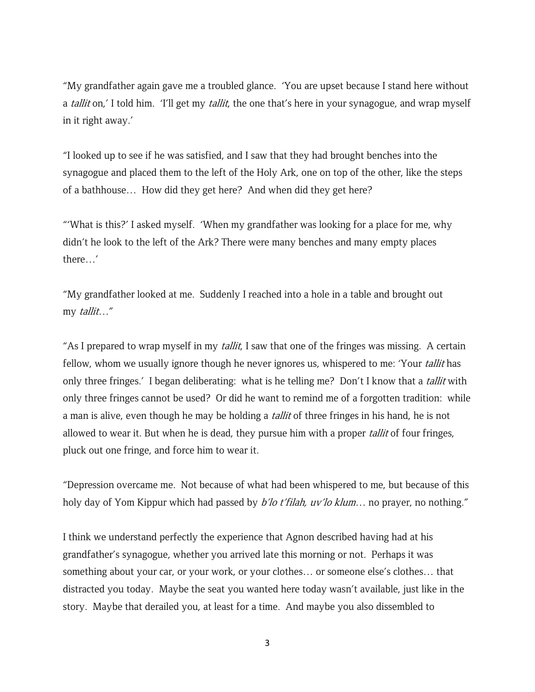"My grandfather again gave me a troubled glance. 'You are upset because I stand here without a *tallit* on,' I told him. 'I'll get my *tallit*, the one that's here in your synagogue, and wrap myself in it right away.'

"I looked up to see if he was satisfied, and I saw that they had brought benches into the synagogue and placed them to the left of the Holy Ark, one on top of the other, like the steps of a bathhouse… How did they get here? And when did they get here?

"'What is this?' I asked myself. 'When my grandfather was looking for a place for me, why didn't he look to the left of the Ark? There were many benches and many empty places there…'

"My grandfather looked at me. Suddenly I reached into a hole in a table and brought out my tallit…"

"As I prepared to wrap myself in my *tallit*, I saw that one of the fringes was missing. A certain fellow, whom we usually ignore though he never ignores us, whispered to me: 'Your *tallit* has only three fringes.' I began deliberating: what is he telling me? Don't I know that a *tallit* with only three fringes cannot be used? Or did he want to remind me of a forgotten tradition: while a man is alive, even though he may be holding a *tallit* of three fringes in his hand, he is not allowed to wear it. But when he is dead, they pursue him with a proper *tallit* of four fringes, pluck out one fringe, and force him to wear it.

"Depression overcame me. Not because of what had been whispered to me, but because of this holy day of Yom Kippur which had passed by *b'lo t'filah, uv'lo klum*... no prayer, no nothing."

I think we understand perfectly the experience that Agnon described having had at his grandfather's synagogue, whether you arrived late this morning or not. Perhaps it was something about your car, or your work, or your clothes… or someone else's clothes… that distracted you today. Maybe the seat you wanted here today wasn't available, just like in the story. Maybe that derailed you, at least for a time. And maybe you also dissembled to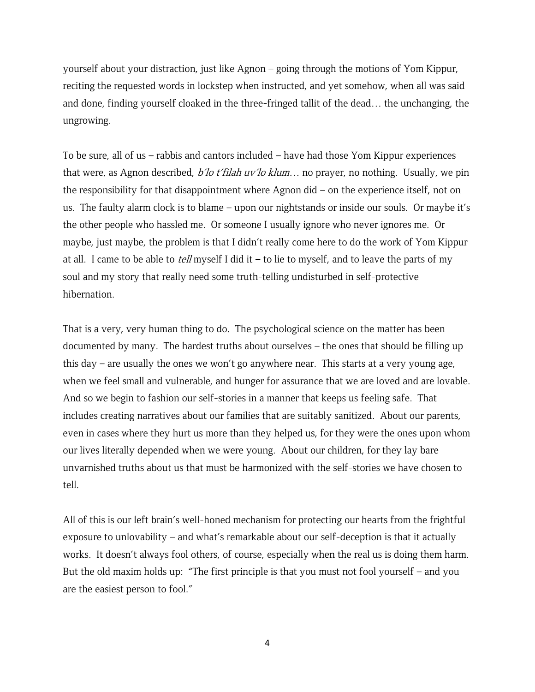yourself about your distraction, just like Agnon – going through the motions of Yom Kippur, reciting the requested words in lockstep when instructed, and yet somehow, when all was said and done, finding yourself cloaked in the three-fringed tallit of the dead… the unchanging, the ungrowing.

To be sure, all of us – rabbis and cantors included – have had those Yom Kippur experiences that were, as Agnon described,  $b$  *ilo t'filah uv'lo klum...* no prayer, no nothing. Usually, we pin the responsibility for that disappointment where Agnon did – on the experience itself, not on us. The faulty alarm clock is to blame – upon our nightstands or inside our souls. Or maybe it's the other people who hassled me. Or someone I usually ignore who never ignores me. Or maybe, just maybe, the problem is that I didn't really come here to do the work of Yom Kippur at all. I came to be able to *tell* myself I did it – to lie to myself, and to leave the parts of my soul and my story that really need some truth-telling undisturbed in self-protective hibernation.

That is a very, very human thing to do. The psychological science on the matter has been documented by many. The hardest truths about ourselves – the ones that should be filling up this day – are usually the ones we won't go anywhere near. This starts at a very young age, when we feel small and vulnerable, and hunger for assurance that we are loved and are lovable. And so we begin to fashion our self-stories in a manner that keeps us feeling safe. That includes creating narratives about our families that are suitably sanitized. About our parents, even in cases where they hurt us more than they helped us, for they were the ones upon whom our lives literally depended when we were young. About our children, for they lay bare unvarnished truths about us that must be harmonized with the self-stories we have chosen to tell.

All of this is our left brain's well-honed mechanism for protecting our hearts from the frightful exposure to unlovability – and what's remarkable about our self-deception is that it actually works. It doesn't always fool others, of course, especially when the real us is doing them harm. But the old maxim holds up: "The first principle is that you must not fool yourself – and you are the easiest person to fool."

4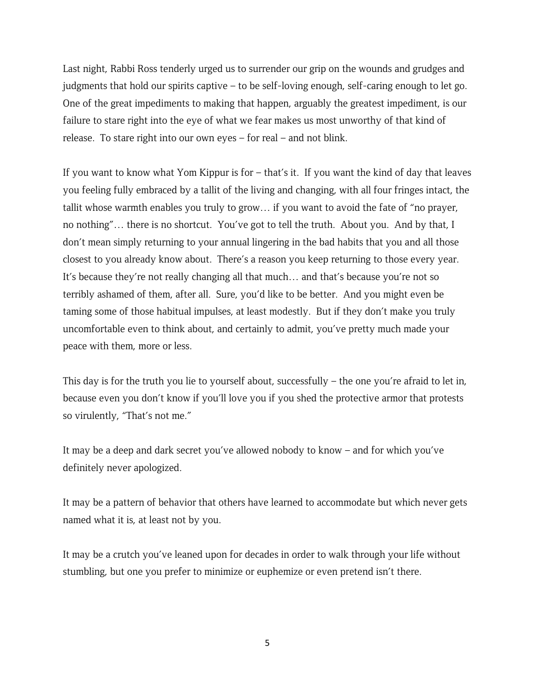Last night, Rabbi Ross tenderly urged us to surrender our grip on the wounds and grudges and judgments that hold our spirits captive – to be self-loving enough, self-caring enough to let go. One of the great impediments to making that happen, arguably the greatest impediment, is our failure to stare right into the eye of what we fear makes us most unworthy of that kind of release. To stare right into our own eyes – for real – and not blink.

If you want to know what Yom Kippur is for – that's it. If you want the kind of day that leaves you feeling fully embraced by a tallit of the living and changing, with all four fringes intact, the tallit whose warmth enables you truly to grow… if you want to avoid the fate of "no prayer, no nothing"… there is no shortcut. You've got to tell the truth. About you. And by that, I don't mean simply returning to your annual lingering in the bad habits that you and all those closest to you already know about. There's a reason you keep returning to those every year. It's because they're not really changing all that much… and that's because you're not so terribly ashamed of them, after all. Sure, you'd like to be better. And you might even be taming some of those habitual impulses, at least modestly. But if they don't make you truly uncomfortable even to think about, and certainly to admit, you've pretty much made your peace with them, more or less.

This day is for the truth you lie to yourself about, successfully – the one you're afraid to let in, because even you don't know if you'll love you if you shed the protective armor that protests so virulently, "That's not me."

It may be a deep and dark secret you've allowed nobody to know – and for which you've definitely never apologized.

It may be a pattern of behavior that others have learned to accommodate but which never gets named what it is, at least not by you.

It may be a crutch you've leaned upon for decades in order to walk through your life without stumbling, but one you prefer to minimize or euphemize or even pretend isn't there.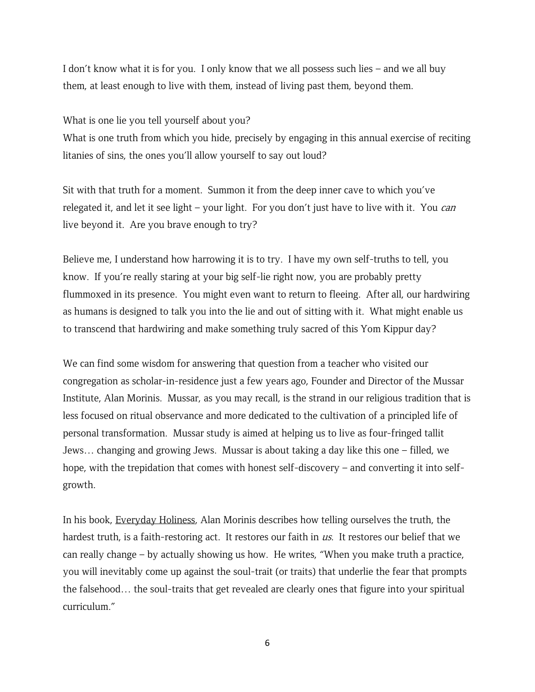I don't know what it is for you. I only know that we all possess such lies – and we all buy them, at least enough to live with them, instead of living past them, beyond them.

What is one lie you tell yourself about you?

What is one truth from which you hide, precisely by engaging in this annual exercise of reciting litanies of sins, the ones you'll allow yourself to say out loud?

Sit with that truth for a moment. Summon it from the deep inner cave to which you've relegated it, and let it see light – your light. For you don't just have to live with it. You *can* live beyond it. Are you brave enough to try?

Believe me, I understand how harrowing it is to try. I have my own self-truths to tell, you know. If you're really staring at your big self-lie right now, you are probably pretty flummoxed in its presence. You might even want to return to fleeing. After all, our hardwiring as humans is designed to talk you into the lie and out of sitting with it. What might enable us to transcend that hardwiring and make something truly sacred of this Yom Kippur day?

We can find some wisdom for answering that question from a teacher who visited our congregation as scholar-in-residence just a few years ago, Founder and Director of the Mussar Institute, Alan Morinis. Mussar, as you may recall, is the strand in our religious tradition that is less focused on ritual observance and more dedicated to the cultivation of a principled life of personal transformation. Mussar study is aimed at helping us to live as four-fringed tallit Jews… changing and growing Jews. Mussar is about taking a day like this one – filled, we hope, with the trepidation that comes with honest self-discovery – and converting it into selfgrowth.

In his book, Everyday Holiness, Alan Morinis describes how telling ourselves the truth, the hardest truth, is a faith-restoring act. It restores our faith in us. It restores our belief that we can really change – by actually showing us how. He writes, "When you make truth a practice, you will inevitably come up against the soul-trait (or traits) that underlie the fear that prompts the falsehood… the soul-traits that get revealed are clearly ones that figure into your spiritual curriculum."

6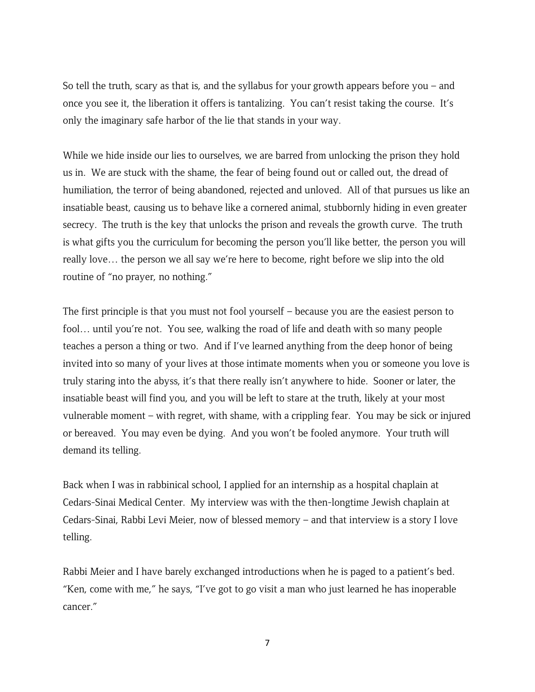So tell the truth, scary as that is, and the syllabus for your growth appears before you – and once you see it, the liberation it offers is tantalizing. You can't resist taking the course. It's only the imaginary safe harbor of the lie that stands in your way.

While we hide inside our lies to ourselves, we are barred from unlocking the prison they hold us in. We are stuck with the shame, the fear of being found out or called out, the dread of humiliation, the terror of being abandoned, rejected and unloved. All of that pursues us like an insatiable beast, causing us to behave like a cornered animal, stubbornly hiding in even greater secrecy. The truth is the key that unlocks the prison and reveals the growth curve. The truth is what gifts you the curriculum for becoming the person you'll like better, the person you will really love… the person we all say we're here to become, right before we slip into the old routine of "no prayer, no nothing."

The first principle is that you must not fool yourself – because you are the easiest person to fool… until you're not. You see, walking the road of life and death with so many people teaches a person a thing or two. And if I've learned anything from the deep honor of being invited into so many of your lives at those intimate moments when you or someone you love is truly staring into the abyss, it's that there really isn't anywhere to hide. Sooner or later, the insatiable beast will find you, and you will be left to stare at the truth, likely at your most vulnerable moment – with regret, with shame, with a crippling fear. You may be sick or injured or bereaved. You may even be dying. And you won't be fooled anymore. Your truth will demand its telling.

Back when I was in rabbinical school, I applied for an internship as a hospital chaplain at Cedars-Sinai Medical Center. My interview was with the then-longtime Jewish chaplain at Cedars-Sinai, Rabbi Levi Meier, now of blessed memory – and that interview is a story I love telling.

Rabbi Meier and I have barely exchanged introductions when he is paged to a patient's bed. "Ken, come with me," he says, "I've got to go visit a man who just learned he has inoperable cancer."

7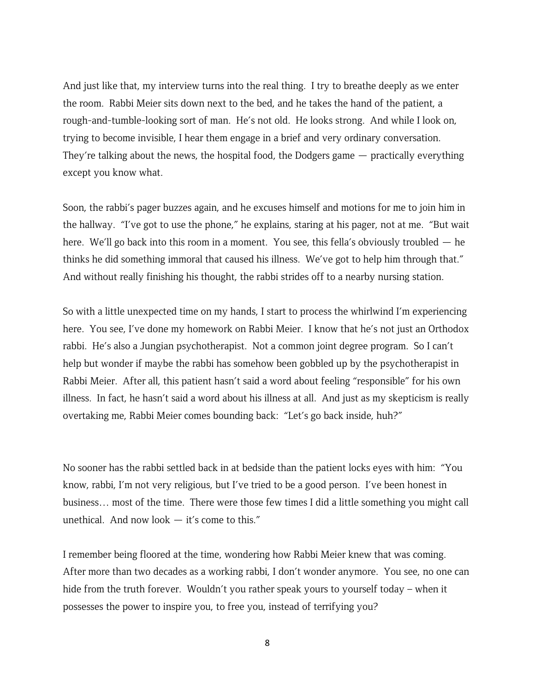And just like that, my interview turns into the real thing. I try to breathe deeply as we enter the room. Rabbi Meier sits down next to the bed, and he takes the hand of the patient, a rough-and-tumble-looking sort of man. He's not old. He looks strong. And while I look on, trying to become invisible, I hear them engage in a brief and very ordinary conversation. They're talking about the news, the hospital food, the Dodgers game  $-$  practically everything except you know what.

Soon, the rabbi's pager buzzes again, and he excuses himself and motions for me to join him in the hallway. "I've got to use the phone," he explains, staring at his pager, not at me. "But wait here. We'll go back into this room in a moment. You see, this fella's obviously troubled — he thinks he did something immoral that caused his illness. We've got to help him through that." And without really finishing his thought, the rabbi strides off to a nearby nursing station.

So with a little unexpected time on my hands, I start to process the whirlwind I'm experiencing here. You see, I've done my homework on Rabbi Meier. I know that he's not just an Orthodox rabbi. He's also a Jungian psychotherapist. Not a common joint degree program. So I can't help but wonder if maybe the rabbi has somehow been gobbled up by the psychotherapist in Rabbi Meier. After all, this patient hasn't said a word about feeling "responsible" for his own illness. In fact, he hasn't said a word about his illness at all. And just as my skepticism is really overtaking me, Rabbi Meier comes bounding back: "Let's go back inside, huh?"

No sooner has the rabbi settled back in at bedside than the patient locks eyes with him: "You know, rabbi, I'm not very religious, but I've tried to be a good person. I've been honest in business… most of the time. There were those few times I did a little something you might call unethical. And now look  $-$  it's come to this."

I remember being floored at the time, wondering how Rabbi Meier knew that was coming. After more than two decades as a working rabbi, I don't wonder anymore. You see, no one can hide from the truth forever. Wouldn't you rather speak yours to yourself today – when it possesses the power to inspire you, to free you, instead of terrifying you?